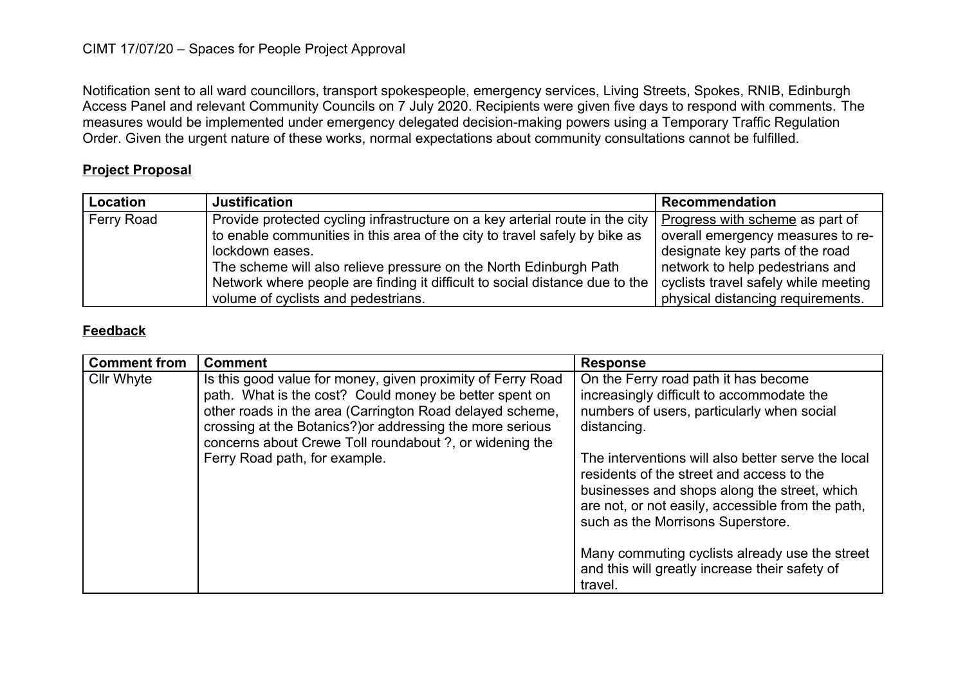## CIMT 17/07/20 – Spaces for People Project Approval

Notification sent to all ward councillors, transport spokespeople, emergency services, Living Streets, Spokes, RNIB, Edinburgh Access Panel and relevant Community Councils on 7 July 2020. Recipients were given five days to respond with comments. The measures would be implemented under emergency delegated decision-making powers using a Temporary Traffic Regulation Order. Given the urgent nature of these works, normal expectations about community consultations cannot be fulfilled.

## **Project Proposal**

| Location   | <b>Justification</b>                                                         | <b>Recommendation</b>                |
|------------|------------------------------------------------------------------------------|--------------------------------------|
| Ferry Road | Provide protected cycling infrastructure on a key arterial route in the city | Progress with scheme as part of      |
|            | to enable communities in this area of the city to travel safely by bike as   | overall emergency measures to re-    |
|            | lockdown eases.                                                              | designate key parts of the road      |
|            | The scheme will also relieve pressure on the North Edinburgh Path            | network to help pedestrians and      |
|            | Network where people are finding it difficult to social distance due to the  | cyclists travel safely while meeting |
|            | volume of cyclists and pedestrians.                                          | physical distancing requirements.    |

## **Feedback**

| <b>Comment from</b> | <b>Comment</b>                                                                                                                                                                                                                                                                                            | <b>Response</b>                                                                                                                                                                                                                           |
|---------------------|-----------------------------------------------------------------------------------------------------------------------------------------------------------------------------------------------------------------------------------------------------------------------------------------------------------|-------------------------------------------------------------------------------------------------------------------------------------------------------------------------------------------------------------------------------------------|
| <b>Cllr Whyte</b>   | Is this good value for money, given proximity of Ferry Road<br>path. What is the cost? Could money be better spent on<br>other roads in the area (Carrington Road delayed scheme,<br>crossing at the Botanics?) or addressing the more serious<br>concerns about Crewe Toll roundabout ?, or widening the | On the Ferry road path it has become<br>increasingly difficult to accommodate the<br>numbers of users, particularly when social<br>distancing.                                                                                            |
|                     | Ferry Road path, for example.                                                                                                                                                                                                                                                                             | The interventions will also better serve the local<br>residents of the street and access to the<br>businesses and shops along the street, which<br>are not, or not easily, accessible from the path,<br>such as the Morrisons Superstore. |
|                     |                                                                                                                                                                                                                                                                                                           | Many commuting cyclists already use the street<br>and this will greatly increase their safety of<br>travel.                                                                                                                               |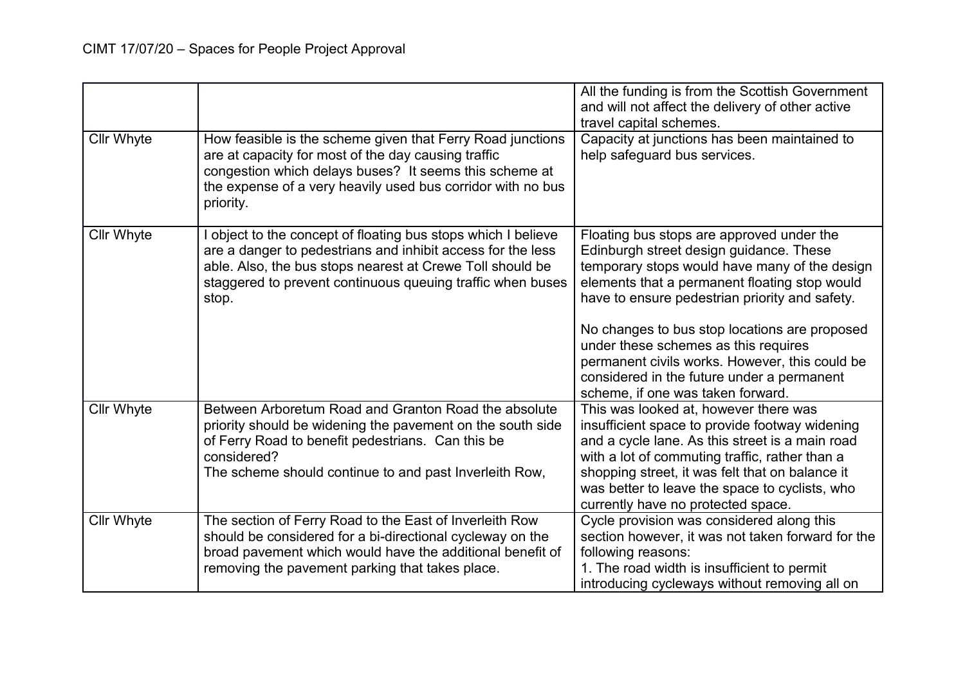|                   |                                                                                                                                                                                                                                                                | All the funding is from the Scottish Government<br>and will not affect the delivery of other active<br>travel capital schemes.                                                                                                                                                                                                                                                                                                                                         |
|-------------------|----------------------------------------------------------------------------------------------------------------------------------------------------------------------------------------------------------------------------------------------------------------|------------------------------------------------------------------------------------------------------------------------------------------------------------------------------------------------------------------------------------------------------------------------------------------------------------------------------------------------------------------------------------------------------------------------------------------------------------------------|
| <b>Cllr Whyte</b> | How feasible is the scheme given that Ferry Road junctions<br>are at capacity for most of the day causing traffic<br>congestion which delays buses? It seems this scheme at<br>the expense of a very heavily used bus corridor with no bus<br>priority.        | Capacity at junctions has been maintained to<br>help safeguard bus services.                                                                                                                                                                                                                                                                                                                                                                                           |
| <b>Cllr Whyte</b> | object to the concept of floating bus stops which I believe<br>are a danger to pedestrians and inhibit access for the less<br>able. Also, the bus stops nearest at Crewe Toll should be<br>staggered to prevent continuous queuing traffic when buses<br>stop. | Floating bus stops are approved under the<br>Edinburgh street design guidance. These<br>temporary stops would have many of the design<br>elements that a permanent floating stop would<br>have to ensure pedestrian priority and safety.<br>No changes to bus stop locations are proposed<br>under these schemes as this requires<br>permanent civils works. However, this could be<br>considered in the future under a permanent<br>scheme, if one was taken forward. |
| Cllr Whyte        | Between Arboretum Road and Granton Road the absolute<br>priority should be widening the pavement on the south side<br>of Ferry Road to benefit pedestrians. Can this be<br>considered?<br>The scheme should continue to and past Inverleith Row,               | This was looked at, however there was<br>insufficient space to provide footway widening<br>and a cycle lane. As this street is a main road<br>with a lot of commuting traffic, rather than a<br>shopping street, it was felt that on balance it<br>was better to leave the space to cyclists, who<br>currently have no protected space.                                                                                                                                |
| <b>Cllr Whyte</b> | The section of Ferry Road to the East of Inverleith Row<br>should be considered for a bi-directional cycleway on the<br>broad pavement which would have the additional benefit of<br>removing the pavement parking that takes place.                           | Cycle provision was considered along this<br>section however, it was not taken forward for the<br>following reasons:<br>1. The road width is insufficient to permit<br>introducing cycleways without removing all on                                                                                                                                                                                                                                                   |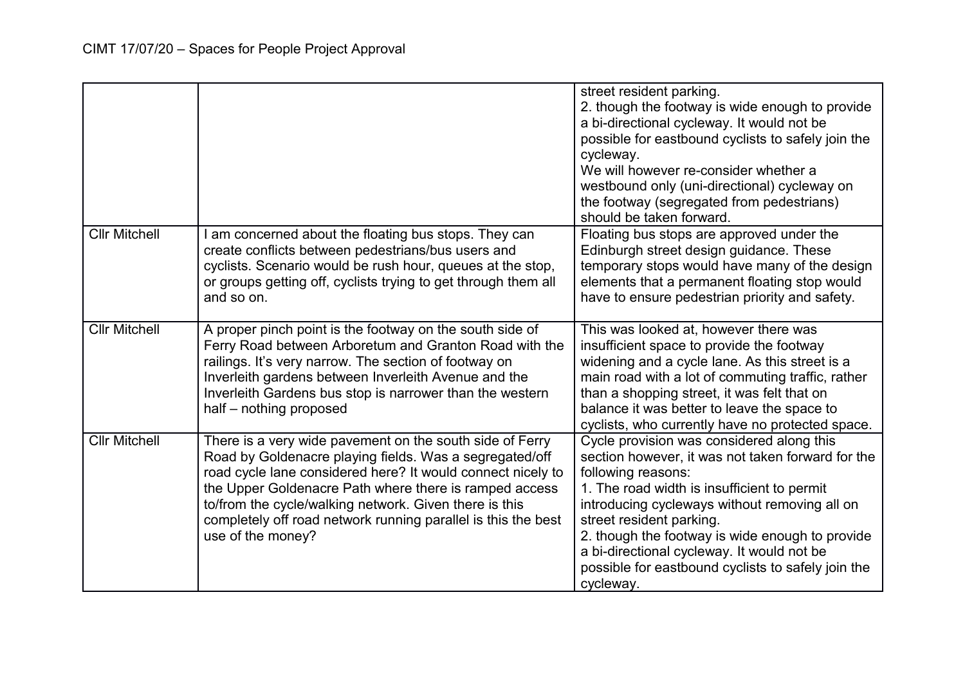|                      |                                                                                                                                                                                                                                                                                                                                                                                              | street resident parking.<br>2. though the footway is wide enough to provide<br>a bi-directional cycleway. It would not be<br>possible for eastbound cyclists to safely join the<br>cycleway.<br>We will however re-consider whether a<br>westbound only (uni-directional) cycleway on<br>the footway (segregated from pedestrians)<br>should be taken forward.                                                       |
|----------------------|----------------------------------------------------------------------------------------------------------------------------------------------------------------------------------------------------------------------------------------------------------------------------------------------------------------------------------------------------------------------------------------------|----------------------------------------------------------------------------------------------------------------------------------------------------------------------------------------------------------------------------------------------------------------------------------------------------------------------------------------------------------------------------------------------------------------------|
| <b>Cllr Mitchell</b> | am concerned about the floating bus stops. They can<br>create conflicts between pedestrians/bus users and<br>cyclists. Scenario would be rush hour, queues at the stop,<br>or groups getting off, cyclists trying to get through them all<br>and so on.                                                                                                                                      | Floating bus stops are approved under the<br>Edinburgh street design guidance. These<br>temporary stops would have many of the design<br>elements that a permanent floating stop would<br>have to ensure pedestrian priority and safety.                                                                                                                                                                             |
| <b>Cllr Mitchell</b> | A proper pinch point is the footway on the south side of<br>Ferry Road between Arboretum and Granton Road with the<br>railings. It's very narrow. The section of footway on<br>Inverleith gardens between Inverleith Avenue and the<br>Inverleith Gardens bus stop is narrower than the western<br>half - nothing proposed                                                                   | This was looked at, however there was<br>insufficient space to provide the footway<br>widening and a cycle lane. As this street is a<br>main road with a lot of commuting traffic, rather<br>than a shopping street, it was felt that on<br>balance it was better to leave the space to<br>cyclists, who currently have no protected space.                                                                          |
| <b>Cllr Mitchell</b> | There is a very wide pavement on the south side of Ferry<br>Road by Goldenacre playing fields. Was a segregated/off<br>road cycle lane considered here? It would connect nicely to<br>the Upper Goldenacre Path where there is ramped access<br>to/from the cycle/walking network. Given there is this<br>completely off road network running parallel is this the best<br>use of the money? | Cycle provision was considered along this<br>section however, it was not taken forward for the<br>following reasons:<br>1. The road width is insufficient to permit<br>introducing cycleways without removing all on<br>street resident parking.<br>2. though the footway is wide enough to provide<br>a bi-directional cycleway. It would not be<br>possible for eastbound cyclists to safely join the<br>cycleway. |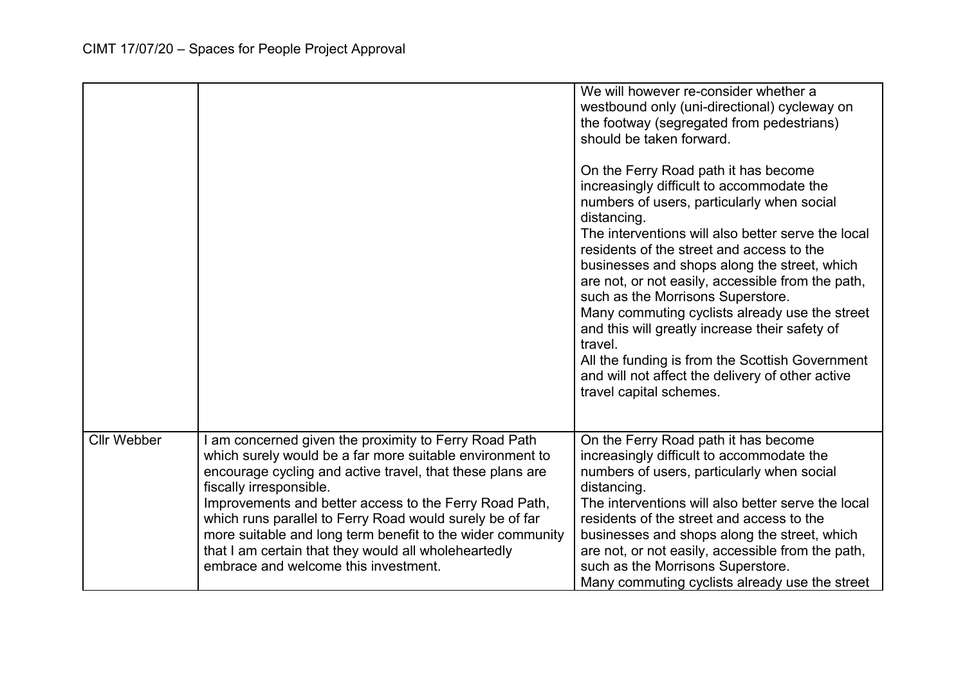|                    |                                                                                                                                                                                                                                                                                                                                                                                                                                                                                               | We will however re-consider whether a<br>westbound only (uni-directional) cycleway on<br>the footway (segregated from pedestrians)<br>should be taken forward.<br>On the Ferry Road path it has become<br>increasingly difficult to accommodate the<br>numbers of users, particularly when social<br>distancing.<br>The interventions will also better serve the local<br>residents of the street and access to the<br>businesses and shops along the street, which<br>are not, or not easily, accessible from the path,<br>such as the Morrisons Superstore.<br>Many commuting cyclists already use the street<br>and this will greatly increase their safety of<br>travel.<br>All the funding is from the Scottish Government<br>and will not affect the delivery of other active<br>travel capital schemes. |
|--------------------|-----------------------------------------------------------------------------------------------------------------------------------------------------------------------------------------------------------------------------------------------------------------------------------------------------------------------------------------------------------------------------------------------------------------------------------------------------------------------------------------------|----------------------------------------------------------------------------------------------------------------------------------------------------------------------------------------------------------------------------------------------------------------------------------------------------------------------------------------------------------------------------------------------------------------------------------------------------------------------------------------------------------------------------------------------------------------------------------------------------------------------------------------------------------------------------------------------------------------------------------------------------------------------------------------------------------------|
| <b>Cllr Webber</b> | I am concerned given the proximity to Ferry Road Path<br>which surely would be a far more suitable environment to<br>encourage cycling and active travel, that these plans are<br>fiscally irresponsible.<br>Improvements and better access to the Ferry Road Path,<br>which runs parallel to Ferry Road would surely be of far<br>more suitable and long term benefit to the wider community<br>that I am certain that they would all wholeheartedly<br>embrace and welcome this investment. | On the Ferry Road path it has become<br>increasingly difficult to accommodate the<br>numbers of users, particularly when social<br>distancing.<br>The interventions will also better serve the local<br>residents of the street and access to the<br>businesses and shops along the street, which<br>are not, or not easily, accessible from the path,<br>such as the Morrisons Superstore.<br>Many commuting cyclists already use the street                                                                                                                                                                                                                                                                                                                                                                  |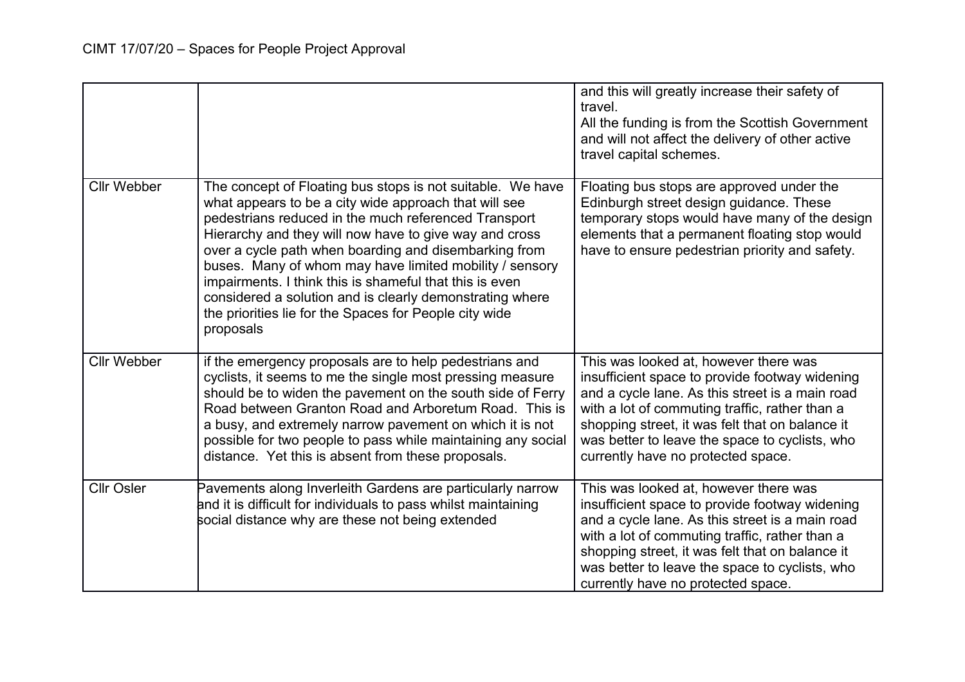|                    |                                                                                                                                                                                                                                                                                                                                                                                                                                                                                                                                                         | and this will greatly increase their safety of<br>travel.<br>All the funding is from the Scottish Government<br>and will not affect the delivery of other active<br>travel capital schemes.                                                                                                                                             |
|--------------------|---------------------------------------------------------------------------------------------------------------------------------------------------------------------------------------------------------------------------------------------------------------------------------------------------------------------------------------------------------------------------------------------------------------------------------------------------------------------------------------------------------------------------------------------------------|-----------------------------------------------------------------------------------------------------------------------------------------------------------------------------------------------------------------------------------------------------------------------------------------------------------------------------------------|
| <b>Cllr Webber</b> | The concept of Floating bus stops is not suitable. We have<br>what appears to be a city wide approach that will see<br>pedestrians reduced in the much referenced Transport<br>Hierarchy and they will now have to give way and cross<br>over a cycle path when boarding and disembarking from<br>buses. Many of whom may have limited mobility / sensory<br>impairments. I think this is shameful that this is even<br>considered a solution and is clearly demonstrating where<br>the priorities lie for the Spaces for People city wide<br>proposals | Floating bus stops are approved under the<br>Edinburgh street design guidance. These<br>temporary stops would have many of the design<br>elements that a permanent floating stop would<br>have to ensure pedestrian priority and safety.                                                                                                |
| <b>Cllr Webber</b> | if the emergency proposals are to help pedestrians and<br>cyclists, it seems to me the single most pressing measure<br>should be to widen the pavement on the south side of Ferry<br>Road between Granton Road and Arboretum Road. This is<br>a busy, and extremely narrow pavement on which it is not<br>possible for two people to pass while maintaining any social<br>distance. Yet this is absent from these proposals.                                                                                                                            | This was looked at, however there was<br>insufficient space to provide footway widening<br>and a cycle lane. As this street is a main road<br>with a lot of commuting traffic, rather than a<br>shopping street, it was felt that on balance it<br>was better to leave the space to cyclists, who<br>currently have no protected space. |
| <b>Cllr Osler</b>  | Pavements along Inverleith Gardens are particularly narrow<br>and it is difficult for individuals to pass whilst maintaining<br>social distance why are these not being extended                                                                                                                                                                                                                                                                                                                                                                        | This was looked at, however there was<br>insufficient space to provide footway widening<br>and a cycle lane. As this street is a main road<br>with a lot of commuting traffic, rather than a<br>shopping street, it was felt that on balance it<br>was better to leave the space to cyclists, who<br>currently have no protected space. |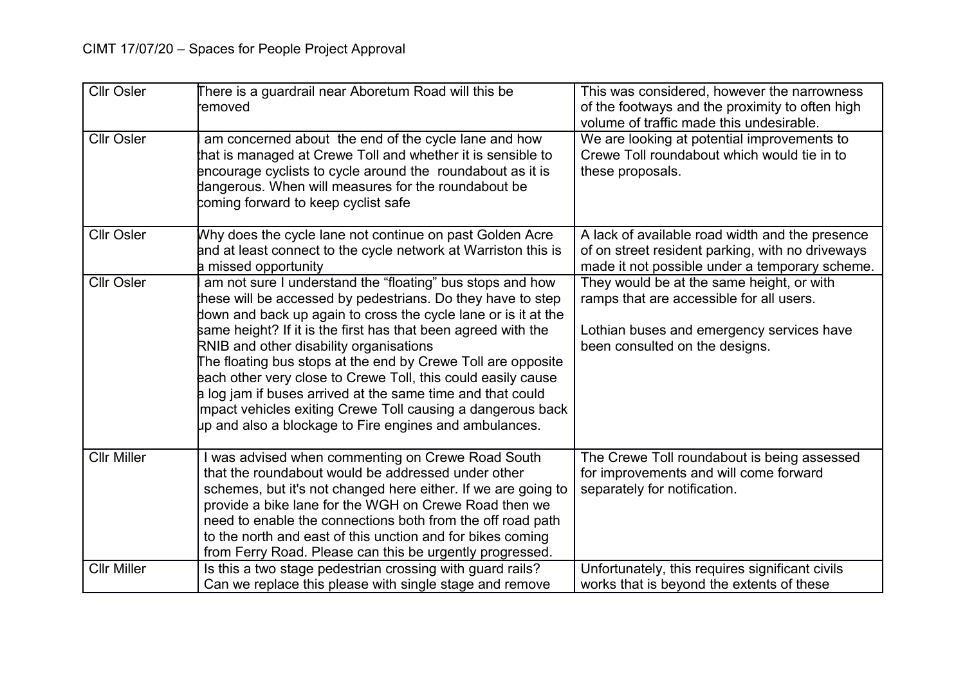| <b>Cllr Osler</b>  | There is a guardrail near Aboretum Road will this be<br>removed                                                                                                                                                                                                                                                                                                                                                                                                                                                                                                                                                               | This was considered, however the narrowness<br>of the footways and the proximity to often high<br>volume of traffic made this undesirable.                           |
|--------------------|-------------------------------------------------------------------------------------------------------------------------------------------------------------------------------------------------------------------------------------------------------------------------------------------------------------------------------------------------------------------------------------------------------------------------------------------------------------------------------------------------------------------------------------------------------------------------------------------------------------------------------|----------------------------------------------------------------------------------------------------------------------------------------------------------------------|
| <b>Cllr Osler</b>  | am concerned about the end of the cycle lane and how<br>that is managed at Crewe Toll and whether it is sensible to<br>encourage cyclists to cycle around the roundabout as it is<br>dangerous. When will measures for the roundabout be<br>coming forward to keep cyclist safe                                                                                                                                                                                                                                                                                                                                               | We are looking at potential improvements to<br>Crewe Toll roundabout which would tie in to<br>these proposals.                                                       |
| <b>Cllr Osler</b>  | Why does the cycle lane not continue on past Golden Acre<br>and at least connect to the cycle network at Warriston this is<br><b>a</b> missed opportunity                                                                                                                                                                                                                                                                                                                                                                                                                                                                     | A lack of available road width and the presence<br>of on street resident parking, with no driveways<br>made it not possible under a temporary scheme.                |
| <b>Cllr Osler</b>  | am not sure I understand the "floating" bus stops and how<br>these will be accessed by pedestrians. Do they have to step<br>down and back up again to cross the cycle lane or is it at the<br>same height? If it is the first has that been agreed with the<br>RNIB and other disability organisations<br>The floating bus stops at the end by Crewe Toll are opposite<br>each other very close to Crewe Toll, this could easily cause<br>a log jam if buses arrived at the same time and that could<br>Impact vehicles exiting Crewe Toll causing a dangerous back<br>up and also a blockage to Fire engines and ambulances. | They would be at the same height, or with<br>ramps that are accessible for all users.<br>Lothian buses and emergency services have<br>been consulted on the designs. |
| <b>Cllr Miller</b> | I was advised when commenting on Crewe Road South<br>that the roundabout would be addressed under other<br>schemes, but it's not changed here either. If we are going to<br>provide a bike lane for the WGH on Crewe Road then we<br>need to enable the connections both from the off road path<br>to the north and east of this unction and for bikes coming<br>from Ferry Road. Please can this be urgently progressed.                                                                                                                                                                                                     | The Crewe Toll roundabout is being assessed<br>for improvements and will come forward<br>separately for notification.                                                |
| <b>Cllr Miller</b> | Is this a two stage pedestrian crossing with guard rails?<br>Can we replace this please with single stage and remove                                                                                                                                                                                                                                                                                                                                                                                                                                                                                                          | Unfortunately, this requires significant civils<br>works that is beyond the extents of these                                                                         |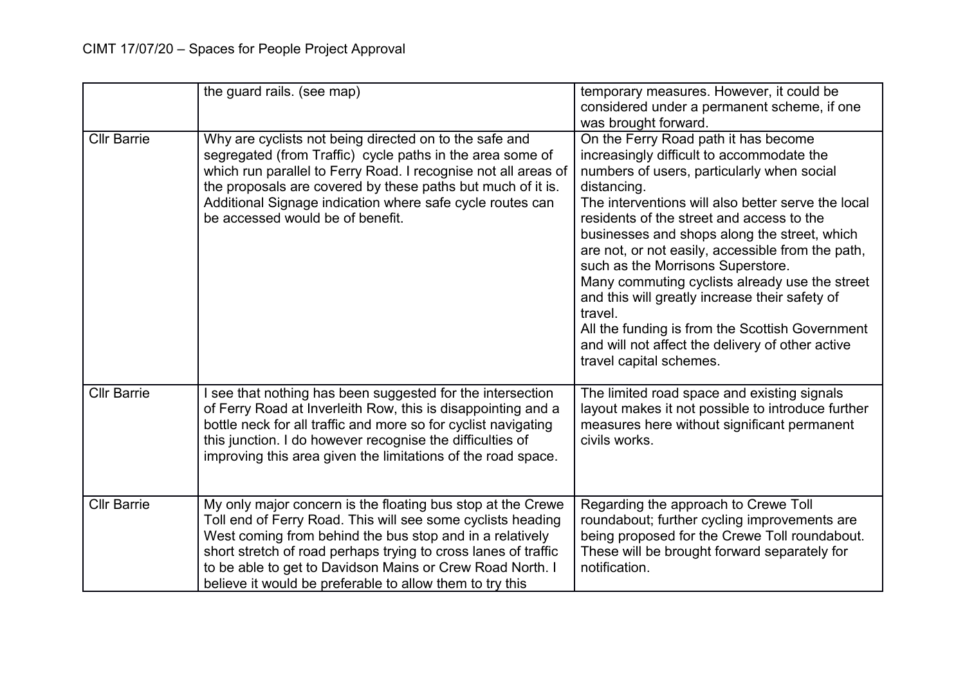|                    | the guard rails. (see map)                                                                                                                                                                                                                                                                                                                                                        | temporary measures. However, it could be<br>considered under a permanent scheme, if one<br>was brought forward.                                                                                                                                                                                                                                                                                                                                                                                                                                                                                                                              |
|--------------------|-----------------------------------------------------------------------------------------------------------------------------------------------------------------------------------------------------------------------------------------------------------------------------------------------------------------------------------------------------------------------------------|----------------------------------------------------------------------------------------------------------------------------------------------------------------------------------------------------------------------------------------------------------------------------------------------------------------------------------------------------------------------------------------------------------------------------------------------------------------------------------------------------------------------------------------------------------------------------------------------------------------------------------------------|
| <b>Cllr Barrie</b> | Why are cyclists not being directed on to the safe and<br>segregated (from Traffic) cycle paths in the area some of<br>which run parallel to Ferry Road. I recognise not all areas of<br>the proposals are covered by these paths but much of it is.<br>Additional Signage indication where safe cycle routes can<br>be accessed would be of benefit.                             | On the Ferry Road path it has become<br>increasingly difficult to accommodate the<br>numbers of users, particularly when social<br>distancing.<br>The interventions will also better serve the local<br>residents of the street and access to the<br>businesses and shops along the street, which<br>are not, or not easily, accessible from the path,<br>such as the Morrisons Superstore.<br>Many commuting cyclists already use the street<br>and this will greatly increase their safety of<br>travel.<br>All the funding is from the Scottish Government<br>and will not affect the delivery of other active<br>travel capital schemes. |
| <b>Cllr Barrie</b> | I see that nothing has been suggested for the intersection<br>of Ferry Road at Inverleith Row, this is disappointing and a<br>bottle neck for all traffic and more so for cyclist navigating<br>this junction. I do however recognise the difficulties of<br>improving this area given the limitations of the road space.                                                         | The limited road space and existing signals<br>layout makes it not possible to introduce further<br>measures here without significant permanent<br>civils works.                                                                                                                                                                                                                                                                                                                                                                                                                                                                             |
| <b>Cllr Barrie</b> | My only major concern is the floating bus stop at the Crewe<br>Toll end of Ferry Road. This will see some cyclists heading<br>West coming from behind the bus stop and in a relatively<br>short stretch of road perhaps trying to cross lanes of traffic<br>to be able to get to Davidson Mains or Crew Road North. I<br>believe it would be preferable to allow them to try this | Regarding the approach to Crewe Toll<br>roundabout; further cycling improvements are<br>being proposed for the Crewe Toll roundabout.<br>These will be brought forward separately for<br>notification.                                                                                                                                                                                                                                                                                                                                                                                                                                       |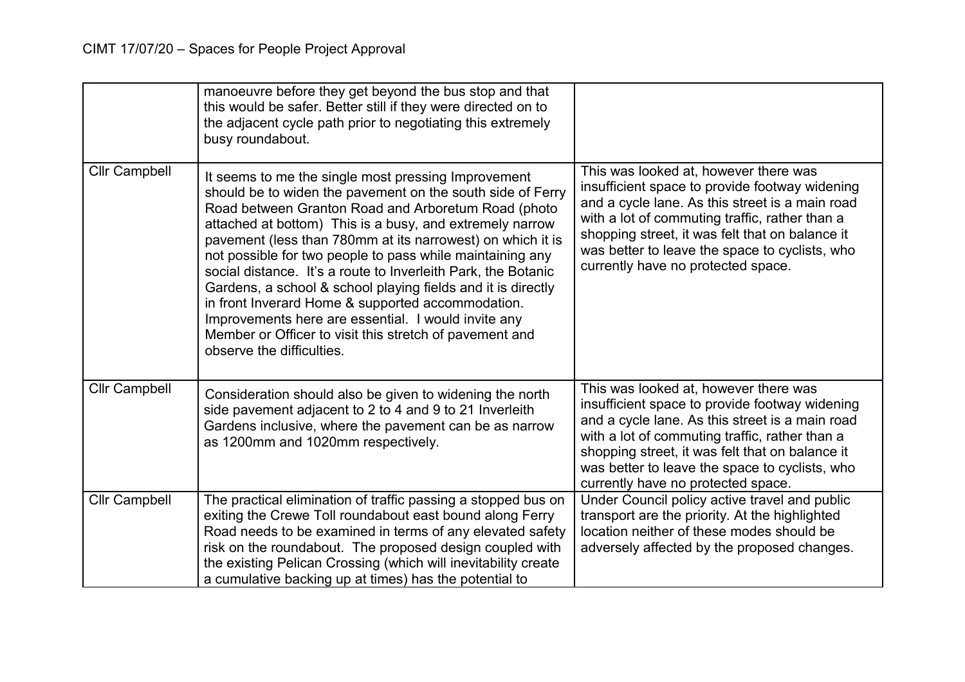|                      | manoeuvre before they get beyond the bus stop and that<br>this would be safer. Better still if they were directed on to<br>the adjacent cycle path prior to negotiating this extremely<br>busy roundabout.                                                                                                                                                                                                                                                                                                                                                                                                                                                                                           |                                                                                                                                                                                                                                                                                                                                         |
|----------------------|------------------------------------------------------------------------------------------------------------------------------------------------------------------------------------------------------------------------------------------------------------------------------------------------------------------------------------------------------------------------------------------------------------------------------------------------------------------------------------------------------------------------------------------------------------------------------------------------------------------------------------------------------------------------------------------------------|-----------------------------------------------------------------------------------------------------------------------------------------------------------------------------------------------------------------------------------------------------------------------------------------------------------------------------------------|
| <b>Cllr Campbell</b> | It seems to me the single most pressing Improvement<br>should be to widen the pavement on the south side of Ferry<br>Road between Granton Road and Arboretum Road (photo<br>attached at bottom) This is a busy, and extremely narrow<br>pavement (less than 780mm at its narrowest) on which it is<br>not possible for two people to pass while maintaining any<br>social distance. It's a route to Inverleith Park, the Botanic<br>Gardens, a school & school playing fields and it is directly<br>in front Inverard Home & supported accommodation.<br>Improvements here are essential. I would invite any<br>Member or Officer to visit this stretch of pavement and<br>observe the difficulties. | This was looked at, however there was<br>insufficient space to provide footway widening<br>and a cycle lane. As this street is a main road<br>with a lot of commuting traffic, rather than a<br>shopping street, it was felt that on balance it<br>was better to leave the space to cyclists, who<br>currently have no protected space. |
| <b>Cllr Campbell</b> | Consideration should also be given to widening the north<br>side pavement adjacent to 2 to 4 and 9 to 21 Inverleith<br>Gardens inclusive, where the pavement can be as narrow<br>as 1200mm and 1020mm respectively.                                                                                                                                                                                                                                                                                                                                                                                                                                                                                  | This was looked at, however there was<br>insufficient space to provide footway widening<br>and a cycle lane. As this street is a main road<br>with a lot of commuting traffic, rather than a<br>shopping street, it was felt that on balance it<br>was better to leave the space to cyclists, who<br>currently have no protected space. |
| <b>Cllr Campbell</b> | The practical elimination of traffic passing a stopped bus on<br>exiting the Crewe Toll roundabout east bound along Ferry<br>Road needs to be examined in terms of any elevated safety<br>risk on the roundabout. The proposed design coupled with<br>the existing Pelican Crossing (which will inevitability create<br>a cumulative backing up at times) has the potential to                                                                                                                                                                                                                                                                                                                       | Under Council policy active travel and public<br>transport are the priority. At the highlighted<br>location neither of these modes should be<br>adversely affected by the proposed changes.                                                                                                                                             |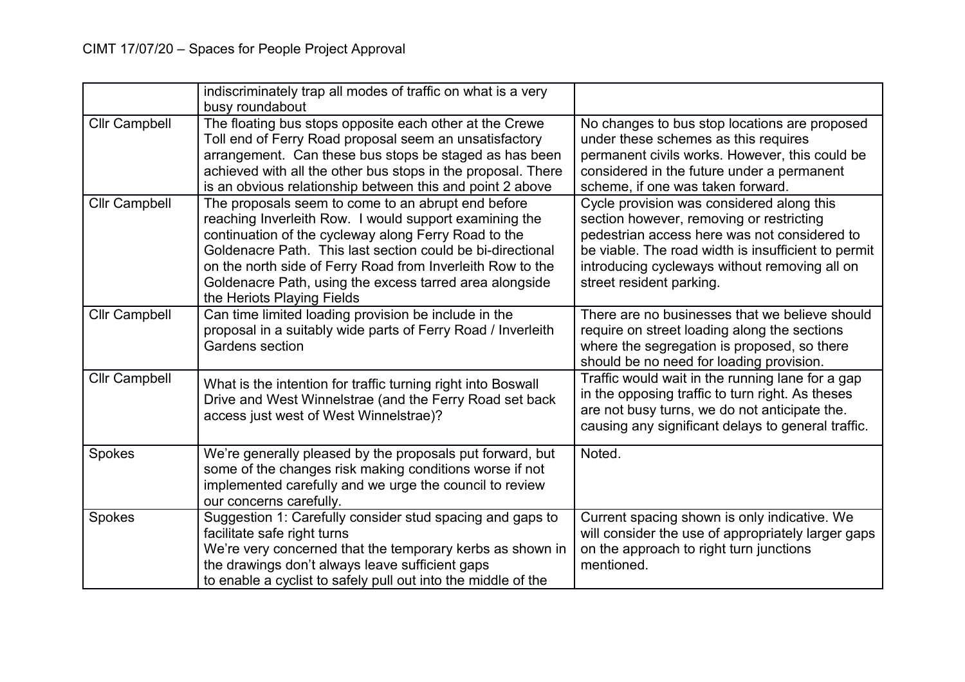|                      | indiscriminately trap all modes of traffic on what is a very<br>busy roundabout                                                                                                                                                                                                                                                                                                           |                                                                                                                                                                                                                                                                           |
|----------------------|-------------------------------------------------------------------------------------------------------------------------------------------------------------------------------------------------------------------------------------------------------------------------------------------------------------------------------------------------------------------------------------------|---------------------------------------------------------------------------------------------------------------------------------------------------------------------------------------------------------------------------------------------------------------------------|
| <b>Cllr Campbell</b> | The floating bus stops opposite each other at the Crewe<br>Toll end of Ferry Road proposal seem an unsatisfactory<br>arrangement. Can these bus stops be staged as has been<br>achieved with all the other bus stops in the proposal. There<br>is an obvious relationship between this and point 2 above                                                                                  | No changes to bus stop locations are proposed<br>under these schemes as this requires<br>permanent civils works. However, this could be<br>considered in the future under a permanent<br>scheme, if one was taken forward.                                                |
| <b>Cllr Campbell</b> | The proposals seem to come to an abrupt end before<br>reaching Inverleith Row. I would support examining the<br>continuation of the cycleway along Ferry Road to the<br>Goldenacre Path. This last section could be bi-directional<br>on the north side of Ferry Road from Inverleith Row to the<br>Goldenacre Path, using the excess tarred area alongside<br>the Heriots Playing Fields | Cycle provision was considered along this<br>section however, removing or restricting<br>pedestrian access here was not considered to<br>be viable. The road width is insufficient to permit<br>introducing cycleways without removing all on<br>street resident parking. |
| <b>Cllr Campbell</b> | Can time limited loading provision be include in the<br>proposal in a suitably wide parts of Ferry Road / Inverleith<br>Gardens section                                                                                                                                                                                                                                                   | There are no businesses that we believe should<br>require on street loading along the sections<br>where the segregation is proposed, so there<br>should be no need for loading provision.                                                                                 |
| <b>Cllr Campbell</b> | What is the intention for traffic turning right into Boswall<br>Drive and West Winnelstrae (and the Ferry Road set back<br>access just west of West Winnelstrae)?                                                                                                                                                                                                                         | Traffic would wait in the running lane for a gap<br>in the opposing traffic to turn right. As theses<br>are not busy turns, we do not anticipate the.<br>causing any significant delays to general traffic.                                                               |
| Spokes               | We're generally pleased by the proposals put forward, but<br>some of the changes risk making conditions worse if not<br>implemented carefully and we urge the council to review<br>our concerns carefully.                                                                                                                                                                                | Noted.                                                                                                                                                                                                                                                                    |
| Spokes               | Suggestion 1: Carefully consider stud spacing and gaps to<br>facilitate safe right turns<br>We're very concerned that the temporary kerbs as shown in<br>the drawings don't always leave sufficient gaps<br>to enable a cyclist to safely pull out into the middle of the                                                                                                                 | Current spacing shown is only indicative. We<br>will consider the use of appropriately larger gaps<br>on the approach to right turn junctions<br>mentioned.                                                                                                               |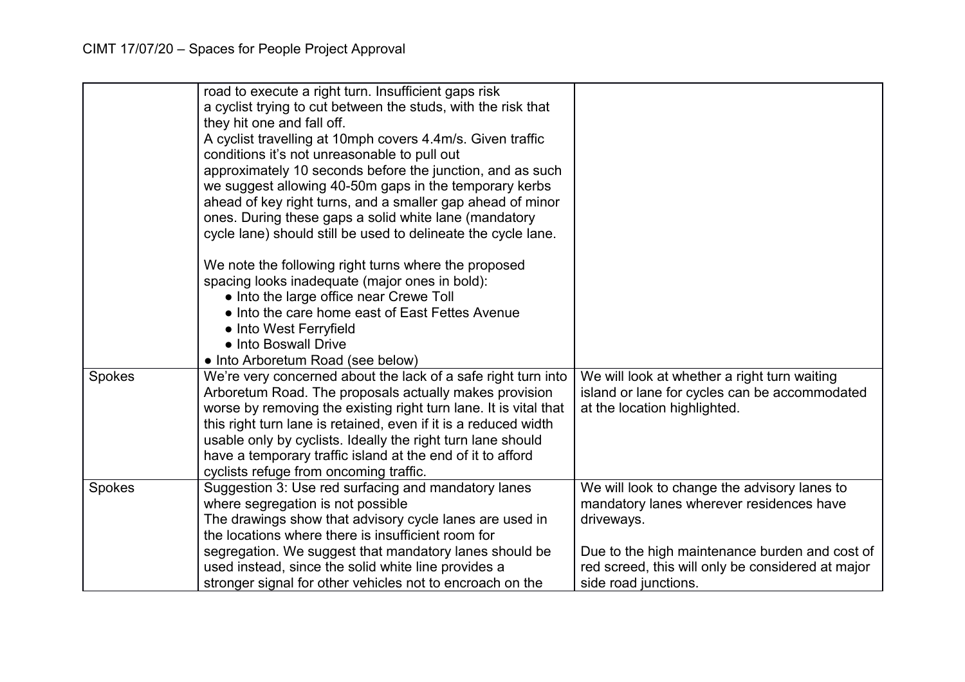|        | road to execute a right turn. Insufficient gaps risk<br>a cyclist trying to cut between the studs, with the risk that<br>they hit one and fall off.<br>A cyclist travelling at 10mph covers 4.4m/s. Given traffic<br>conditions it's not unreasonable to pull out<br>approximately 10 seconds before the junction, and as such<br>we suggest allowing 40-50m gaps in the temporary kerbs |                                                                                                     |
|--------|------------------------------------------------------------------------------------------------------------------------------------------------------------------------------------------------------------------------------------------------------------------------------------------------------------------------------------------------------------------------------------------|-----------------------------------------------------------------------------------------------------|
|        | ahead of key right turns, and a smaller gap ahead of minor<br>ones. During these gaps a solid white lane (mandatory                                                                                                                                                                                                                                                                      |                                                                                                     |
|        | cycle lane) should still be used to delineate the cycle lane.                                                                                                                                                                                                                                                                                                                            |                                                                                                     |
|        | We note the following right turns where the proposed                                                                                                                                                                                                                                                                                                                                     |                                                                                                     |
|        | spacing looks inadequate (major ones in bold):                                                                                                                                                                                                                                                                                                                                           |                                                                                                     |
|        | • Into the large office near Crewe Toll                                                                                                                                                                                                                                                                                                                                                  |                                                                                                     |
|        | • Into the care home east of East Fettes Avenue                                                                                                                                                                                                                                                                                                                                          |                                                                                                     |
|        | • Into West Ferryfield<br>• Into Boswall Drive                                                                                                                                                                                                                                                                                                                                           |                                                                                                     |
|        | • Into Arboretum Road (see below)                                                                                                                                                                                                                                                                                                                                                        |                                                                                                     |
| Spokes | We're very concerned about the lack of a safe right turn into                                                                                                                                                                                                                                                                                                                            | We will look at whether a right turn waiting                                                        |
|        | Arboretum Road. The proposals actually makes provision                                                                                                                                                                                                                                                                                                                                   | island or lane for cycles can be accommodated                                                       |
|        | worse by removing the existing right turn lane. It is vital that                                                                                                                                                                                                                                                                                                                         | at the location highlighted.                                                                        |
|        | this right turn lane is retained, even if it is a reduced width                                                                                                                                                                                                                                                                                                                          |                                                                                                     |
|        | usable only by cyclists. Ideally the right turn lane should                                                                                                                                                                                                                                                                                                                              |                                                                                                     |
|        | have a temporary traffic island at the end of it to afford                                                                                                                                                                                                                                                                                                                               |                                                                                                     |
|        | cyclists refuge from oncoming traffic.                                                                                                                                                                                                                                                                                                                                                   |                                                                                                     |
| Spokes | Suggestion 3: Use red surfacing and mandatory lanes                                                                                                                                                                                                                                                                                                                                      | We will look to change the advisory lanes to                                                        |
|        | where segregation is not possible                                                                                                                                                                                                                                                                                                                                                        | mandatory lanes wherever residences have                                                            |
|        | The drawings show that advisory cycle lanes are used in                                                                                                                                                                                                                                                                                                                                  | driveways.                                                                                          |
|        | the locations where there is insufficient room for                                                                                                                                                                                                                                                                                                                                       |                                                                                                     |
|        | segregation. We suggest that mandatory lanes should be<br>used instead, since the solid white line provides a                                                                                                                                                                                                                                                                            | Due to the high maintenance burden and cost of<br>red screed, this will only be considered at major |
|        | stronger signal for other vehicles not to encroach on the                                                                                                                                                                                                                                                                                                                                | side road junctions.                                                                                |
|        |                                                                                                                                                                                                                                                                                                                                                                                          |                                                                                                     |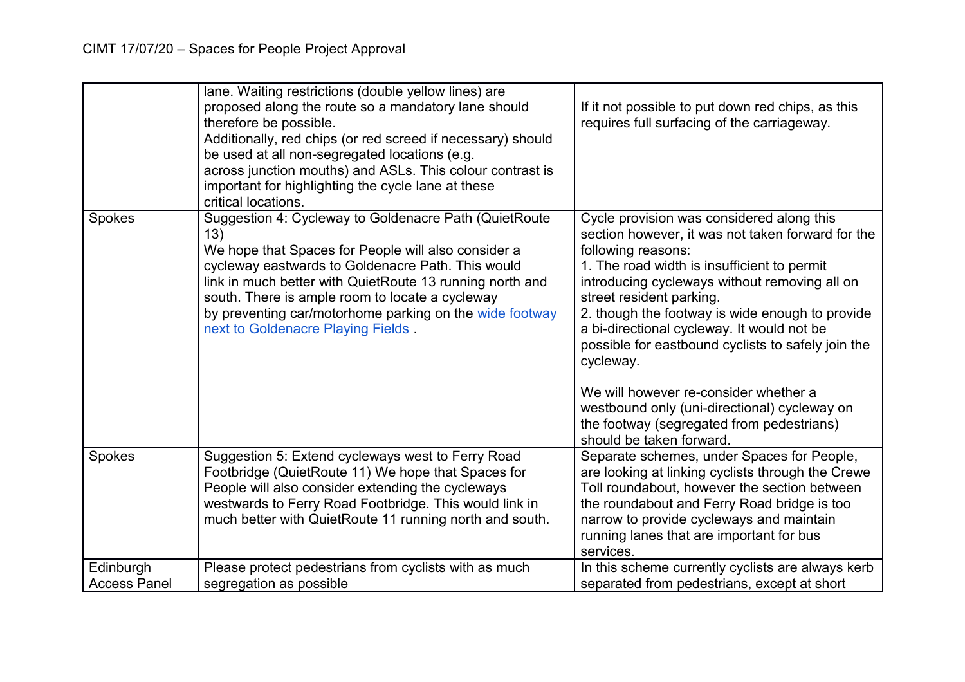|                                  | lane. Waiting restrictions (double yellow lines) are<br>proposed along the route so a mandatory lane should<br>therefore be possible.<br>Additionally, red chips (or red screed if necessary) should<br>be used at all non-segregated locations (e.g.<br>across junction mouths) and ASLs. This colour contrast is<br>important for highlighting the cycle lane at these<br>critical locations. | If it not possible to put down red chips, as this<br>requires full surfacing of the carriageway.                                                                                                                                                                                                                                                                                                                                                                                                                                                                                       |
|----------------------------------|-------------------------------------------------------------------------------------------------------------------------------------------------------------------------------------------------------------------------------------------------------------------------------------------------------------------------------------------------------------------------------------------------|----------------------------------------------------------------------------------------------------------------------------------------------------------------------------------------------------------------------------------------------------------------------------------------------------------------------------------------------------------------------------------------------------------------------------------------------------------------------------------------------------------------------------------------------------------------------------------------|
| Spokes                           | Suggestion 4: Cycleway to Goldenacre Path (QuietRoute<br>13)<br>We hope that Spaces for People will also consider a<br>cycleway eastwards to Goldenacre Path. This would<br>link in much better with QuietRoute 13 running north and<br>south. There is ample room to locate a cycleway<br>by preventing car/motorhome parking on the wide footway<br>next to Goldenacre Playing Fields.        | Cycle provision was considered along this<br>section however, it was not taken forward for the<br>following reasons:<br>1. The road width is insufficient to permit<br>introducing cycleways without removing all on<br>street resident parking.<br>2. though the footway is wide enough to provide<br>a bi-directional cycleway. It would not be<br>possible for eastbound cyclists to safely join the<br>cycleway.<br>We will however re-consider whether a<br>westbound only (uni-directional) cycleway on<br>the footway (segregated from pedestrians)<br>should be taken forward. |
| Spokes                           | Suggestion 5: Extend cycleways west to Ferry Road<br>Footbridge (QuietRoute 11) We hope that Spaces for<br>People will also consider extending the cycleways<br>westwards to Ferry Road Footbridge. This would link in<br>much better with QuietRoute 11 running north and south.                                                                                                               | Separate schemes, under Spaces for People,<br>are looking at linking cyclists through the Crewe<br>Toll roundabout, however the section between<br>the roundabout and Ferry Road bridge is too<br>narrow to provide cycleways and maintain<br>running lanes that are important for bus<br>services.                                                                                                                                                                                                                                                                                    |
| Edinburgh<br><b>Access Panel</b> | Please protect pedestrians from cyclists with as much<br>segregation as possible                                                                                                                                                                                                                                                                                                                | In this scheme currently cyclists are always kerb<br>separated from pedestrians, except at short                                                                                                                                                                                                                                                                                                                                                                                                                                                                                       |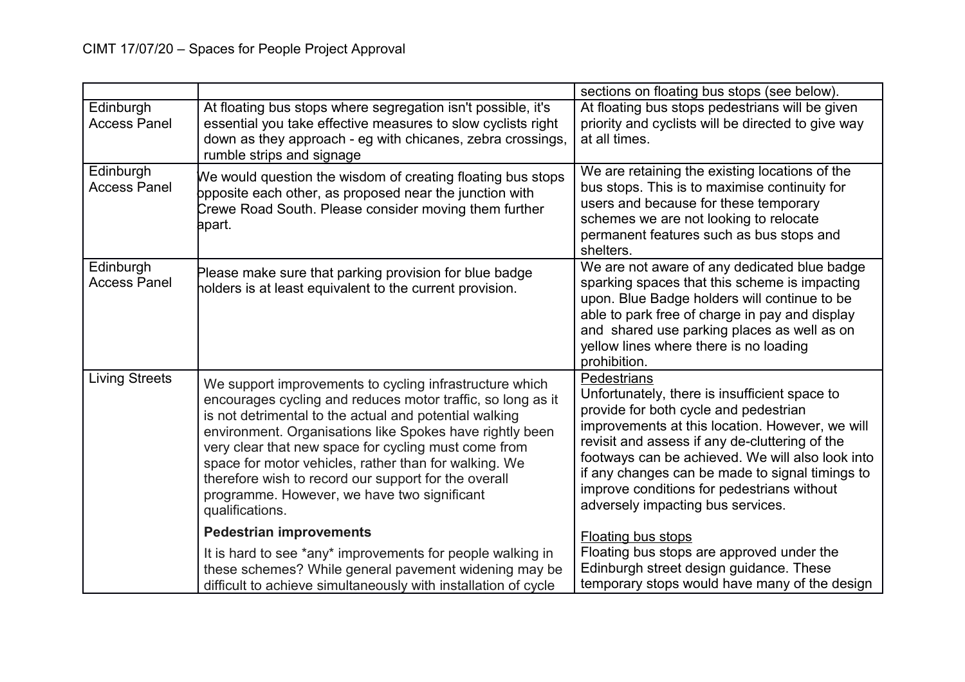|                                  |                                                                                                                                                                                                                                                                                                                                                                                                                                                                                         | sections on floating bus stops (see below).                                                                                                                                                                                                                                                                                                                                                                 |
|----------------------------------|-----------------------------------------------------------------------------------------------------------------------------------------------------------------------------------------------------------------------------------------------------------------------------------------------------------------------------------------------------------------------------------------------------------------------------------------------------------------------------------------|-------------------------------------------------------------------------------------------------------------------------------------------------------------------------------------------------------------------------------------------------------------------------------------------------------------------------------------------------------------------------------------------------------------|
| Edinburgh<br><b>Access Panel</b> | At floating bus stops where segregation isn't possible, it's<br>essential you take effective measures to slow cyclists right<br>down as they approach - eg with chicanes, zebra crossings,<br>rumble strips and signage                                                                                                                                                                                                                                                                 | At floating bus stops pedestrians will be given<br>priority and cyclists will be directed to give way<br>at all times.                                                                                                                                                                                                                                                                                      |
| Edinburgh<br><b>Access Panel</b> | We would question the wisdom of creating floating bus stops<br>ppposite each other, as proposed near the junction with<br>Crewe Road South. Please consider moving them further<br>apart.                                                                                                                                                                                                                                                                                               | We are retaining the existing locations of the<br>bus stops. This is to maximise continuity for<br>users and because for these temporary<br>schemes we are not looking to relocate<br>permanent features such as bus stops and<br>shelters.                                                                                                                                                                 |
| Edinburgh<br><b>Access Panel</b> | Please make sure that parking provision for blue badge<br>holders is at least equivalent to the current provision.                                                                                                                                                                                                                                                                                                                                                                      | We are not aware of any dedicated blue badge<br>sparking spaces that this scheme is impacting<br>upon. Blue Badge holders will continue to be<br>able to park free of charge in pay and display<br>and shared use parking places as well as on<br>yellow lines where there is no loading<br>prohibition.                                                                                                    |
| <b>Living Streets</b>            | We support improvements to cycling infrastructure which<br>encourages cycling and reduces motor traffic, so long as it<br>is not detrimental to the actual and potential walking<br>environment. Organisations like Spokes have rightly been<br>very clear that new space for cycling must come from<br>space for motor vehicles, rather than for walking. We<br>therefore wish to record our support for the overall<br>programme. However, we have two significant<br>qualifications. | <b>Pedestrians</b><br>Unfortunately, there is insufficient space to<br>provide for both cycle and pedestrian<br>improvements at this location. However, we will<br>revisit and assess if any de-cluttering of the<br>footways can be achieved. We will also look into<br>if any changes can be made to signal timings to<br>improve conditions for pedestrians without<br>adversely impacting bus services. |
|                                  | <b>Pedestrian improvements</b>                                                                                                                                                                                                                                                                                                                                                                                                                                                          | <b>Floating bus stops</b>                                                                                                                                                                                                                                                                                                                                                                                   |
|                                  | It is hard to see *any* improvements for people walking in<br>these schemes? While general pavement widening may be<br>difficult to achieve simultaneously with installation of cycle                                                                                                                                                                                                                                                                                                   | Floating bus stops are approved under the<br>Edinburgh street design guidance. These<br>temporary stops would have many of the design                                                                                                                                                                                                                                                                       |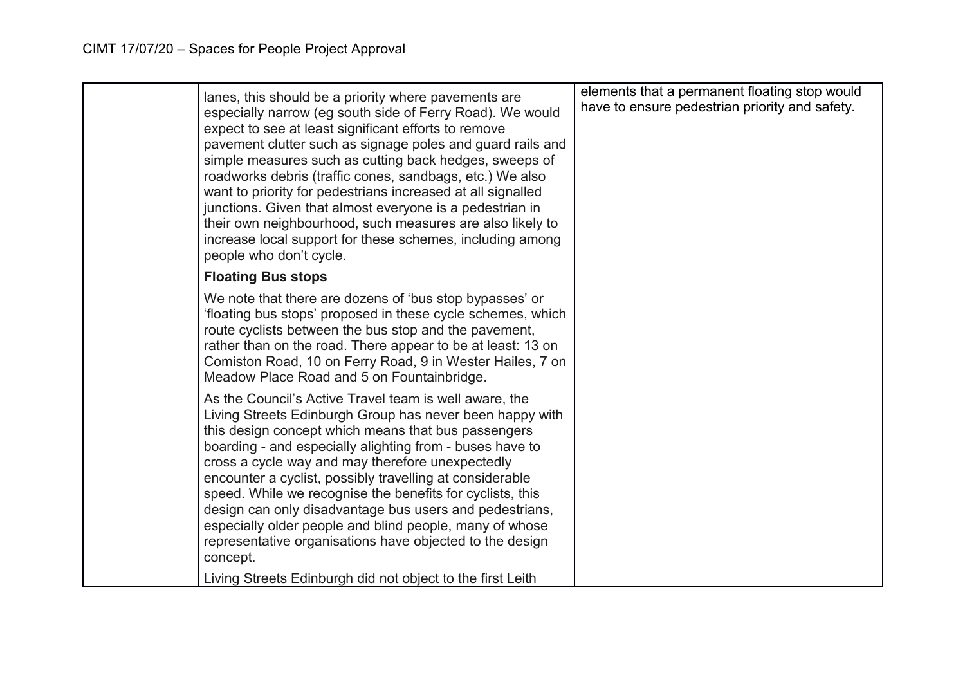| lanes, this should be a priority where pavements are<br>especially narrow (eg south side of Ferry Road). We would<br>expect to see at least significant efforts to remove<br>pavement clutter such as signage poles and guard rails and<br>simple measures such as cutting back hedges, sweeps of<br>roadworks debris (traffic cones, sandbags, etc.) We also<br>want to priority for pedestrians increased at all signalled<br>junctions. Given that almost everyone is a pedestrian in<br>their own neighbourhood, such measures are also likely to<br>increase local support for these schemes, including among<br>people who don't cycle. | elements that a permanent floating stop would<br>have to ensure pedestrian priority and safety. |
|-----------------------------------------------------------------------------------------------------------------------------------------------------------------------------------------------------------------------------------------------------------------------------------------------------------------------------------------------------------------------------------------------------------------------------------------------------------------------------------------------------------------------------------------------------------------------------------------------------------------------------------------------|-------------------------------------------------------------------------------------------------|
| <b>Floating Bus stops</b>                                                                                                                                                                                                                                                                                                                                                                                                                                                                                                                                                                                                                     |                                                                                                 |
| We note that there are dozens of 'bus stop bypasses' or<br>'floating bus stops' proposed in these cycle schemes, which<br>route cyclists between the bus stop and the pavement,<br>rather than on the road. There appear to be at least: 13 on<br>Comiston Road, 10 on Ferry Road, 9 in Wester Hailes, 7 on<br>Meadow Place Road and 5 on Fountainbridge.                                                                                                                                                                                                                                                                                     |                                                                                                 |
| As the Council's Active Travel team is well aware, the<br>Living Streets Edinburgh Group has never been happy with<br>this design concept which means that bus passengers<br>boarding - and especially alighting from - buses have to<br>cross a cycle way and may therefore unexpectedly<br>encounter a cyclist, possibly travelling at considerable<br>speed. While we recognise the benefits for cyclists, this<br>design can only disadvantage bus users and pedestrians,<br>especially older people and blind people, many of whose<br>representative organisations have objected to the design<br>concept.                              |                                                                                                 |
| Living Streets Edinburgh did not object to the first Leith                                                                                                                                                                                                                                                                                                                                                                                                                                                                                                                                                                                    |                                                                                                 |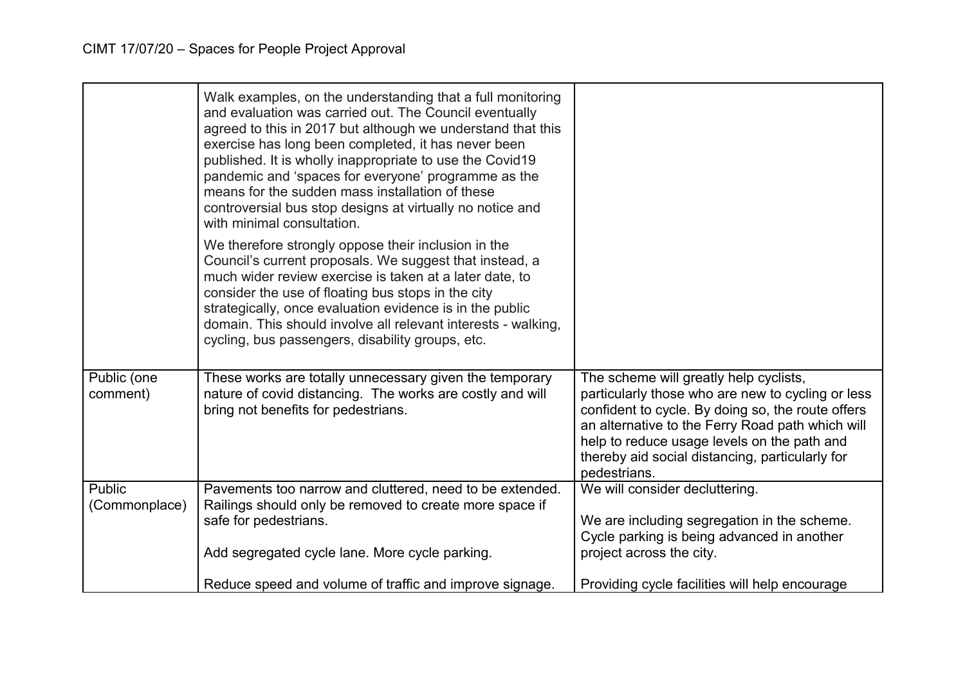|                         | Walk examples, on the understanding that a full monitoring<br>and evaluation was carried out. The Council eventually<br>agreed to this in 2017 but although we understand that this<br>exercise has long been completed, it has never been<br>published. It is wholly inappropriate to use the Covid 19<br>pandemic and 'spaces for everyone' programme as the<br>means for the sudden mass installation of these<br>controversial bus stop designs at virtually no notice and<br>with minimal consultation. |                                                                                                                                                                                                                                                                                                                        |
|-------------------------|--------------------------------------------------------------------------------------------------------------------------------------------------------------------------------------------------------------------------------------------------------------------------------------------------------------------------------------------------------------------------------------------------------------------------------------------------------------------------------------------------------------|------------------------------------------------------------------------------------------------------------------------------------------------------------------------------------------------------------------------------------------------------------------------------------------------------------------------|
|                         | We therefore strongly oppose their inclusion in the<br>Council's current proposals. We suggest that instead, a<br>much wider review exercise is taken at a later date, to<br>consider the use of floating bus stops in the city<br>strategically, once evaluation evidence is in the public<br>domain. This should involve all relevant interests - walking,<br>cycling, bus passengers, disability groups, etc.                                                                                             |                                                                                                                                                                                                                                                                                                                        |
| Public (one<br>comment) | These works are totally unnecessary given the temporary<br>nature of covid distancing. The works are costly and will<br>bring not benefits for pedestrians.                                                                                                                                                                                                                                                                                                                                                  | The scheme will greatly help cyclists,<br>particularly those who are new to cycling or less<br>confident to cycle. By doing so, the route offers<br>an alternative to the Ferry Road path which will<br>help to reduce usage levels on the path and<br>thereby aid social distancing, particularly for<br>pedestrians. |
| Public<br>(Commonplace) | Pavements too narrow and cluttered, need to be extended.<br>Railings should only be removed to create more space if<br>safe for pedestrians.                                                                                                                                                                                                                                                                                                                                                                 | We will consider decluttering.<br>We are including segregation in the scheme.<br>Cycle parking is being advanced in another                                                                                                                                                                                            |
|                         | Add segregated cycle lane. More cycle parking.                                                                                                                                                                                                                                                                                                                                                                                                                                                               | project across the city.                                                                                                                                                                                                                                                                                               |
|                         | Reduce speed and volume of traffic and improve signage.                                                                                                                                                                                                                                                                                                                                                                                                                                                      | Providing cycle facilities will help encourage                                                                                                                                                                                                                                                                         |